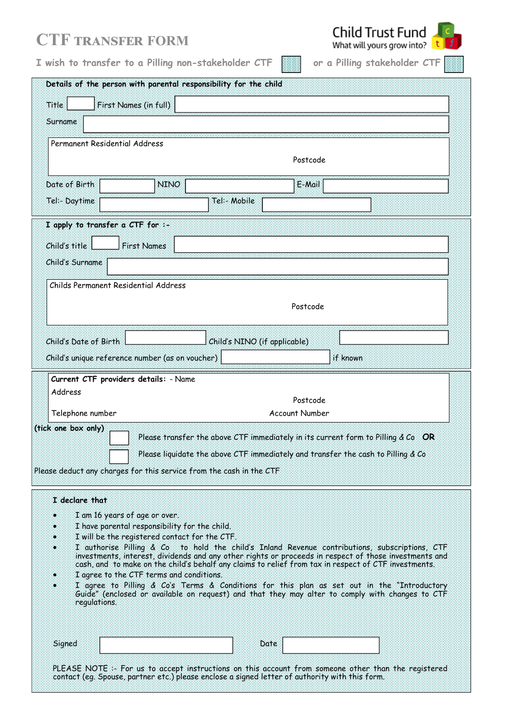## **CTF TRANSFER FORM**



**I** wish to transfer to a Pilling non-stakeholder CTF or a Pilling stakeholder CTF

|                                      | Details of the person with parental responsibility for the child                                                                                                                                      |  |  |  |
|--------------------------------------|-------------------------------------------------------------------------------------------------------------------------------------------------------------------------------------------------------|--|--|--|
| Title                                | First Names (in full)                                                                                                                                                                                 |  |  |  |
| Surname                              |                                                                                                                                                                                                       |  |  |  |
| Permanent Residential Address        |                                                                                                                                                                                                       |  |  |  |
|                                      | Postcode                                                                                                                                                                                              |  |  |  |
| Date of Birth                        | <b>NINO</b><br>E-Mail                                                                                                                                                                                 |  |  |  |
| Tel:- Daytime                        | Tel:- Mobile                                                                                                                                                                                          |  |  |  |
| I apply to transfer a CTF for :-     |                                                                                                                                                                                                       |  |  |  |
| Child's title                        | <b>First Names</b>                                                                                                                                                                                    |  |  |  |
| Child's Surname                      |                                                                                                                                                                                                       |  |  |  |
| Childs Permanent Residential Address |                                                                                                                                                                                                       |  |  |  |
|                                      | Postcode                                                                                                                                                                                              |  |  |  |
|                                      |                                                                                                                                                                                                       |  |  |  |
| Child's Date of Birth                | Child's NINO (if applicable)                                                                                                                                                                          |  |  |  |
|                                      | Child's unique reference number (as on voucher)<br>if known                                                                                                                                           |  |  |  |
|                                      | Current CTF providers details: - Name                                                                                                                                                                 |  |  |  |
| Address                              |                                                                                                                                                                                                       |  |  |  |
| Telephone number                     | Postcode<br><b>Account Number</b>                                                                                                                                                                     |  |  |  |
| (tick one box only)                  |                                                                                                                                                                                                       |  |  |  |
|                                      | Please transfer the above CTF immediately in its current form to Pilling $\& Co$ OR                                                                                                                   |  |  |  |
|                                      | Please liquidate the above CTF immediately and transfer the cash to Pilling & Co<br>Please deduct any charges for this service from the cash in the CTF                                               |  |  |  |
|                                      |                                                                                                                                                                                                       |  |  |  |
| I declare that                       |                                                                                                                                                                                                       |  |  |  |
|                                      | I am 16 years of age or over.                                                                                                                                                                         |  |  |  |
|                                      | I have parental responsibility for the child.                                                                                                                                                         |  |  |  |
|                                      | I will be the registered contact for the CTF.<br>I authorise Pilling & Co to hold the child's Inland Revenue contributions, subscriptions, CTF                                                        |  |  |  |
|                                      | investments, interest, dividends and any other rights or proceeds in respect of those investments and                                                                                                 |  |  |  |
|                                      | cash, and to make on the child's behalf any claims to relief from tax in respect of CTF investments.<br>I agree to the CTF terms and conditions.                                                      |  |  |  |
| regulations.                         | I agree to Pilling & Co's Terms & Conditions for this plan as set out in the "Introductory<br>Guide" (enclosed or available on request) and that they may alter to comply with changes to CTF         |  |  |  |
| Signed                               | Date                                                                                                                                                                                                  |  |  |  |
|                                      | PLEASE NOTE :- For us to accept instructions on this account from someone other than the registered<br>contact (eq. Spouse, partner etc.) please enclose a signed letter of authority with this form. |  |  |  |